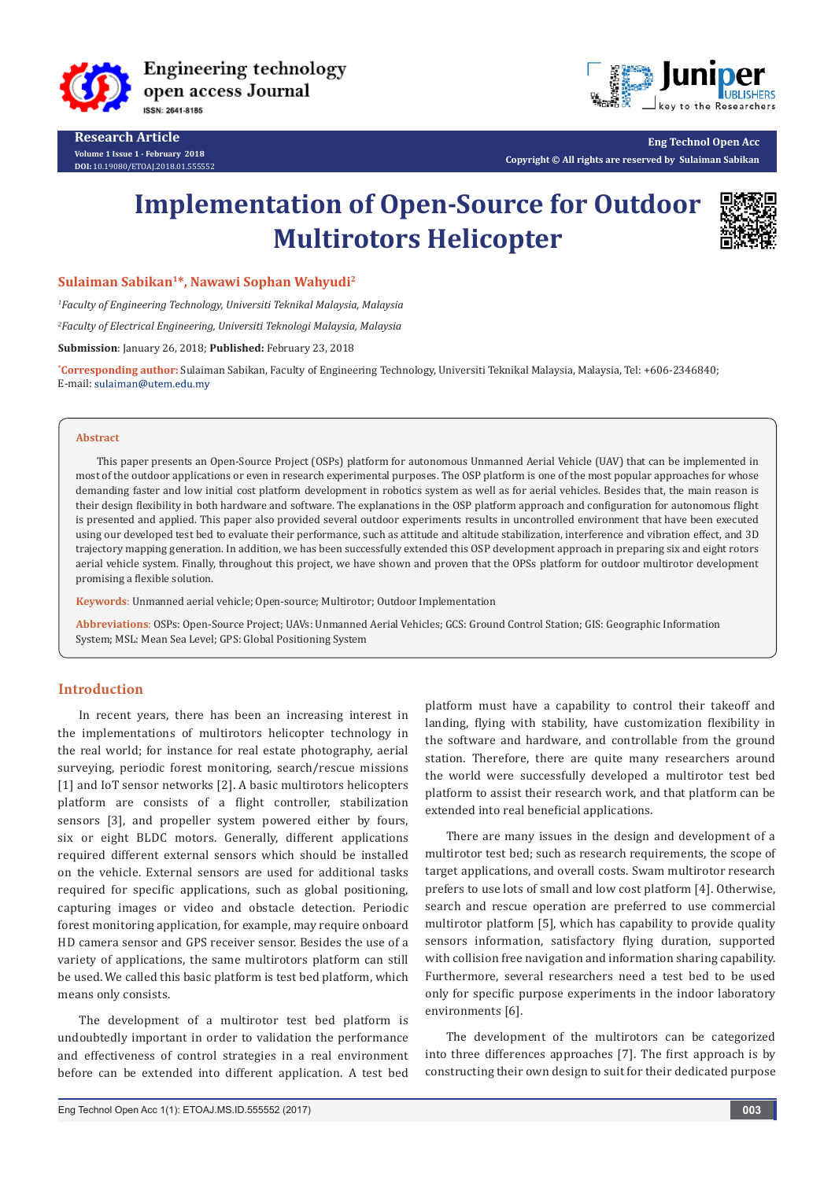

**Research Article Volume 1 Issue 1 - February 2018 DOI:** [10.19080/ETOAJ.2018.01.555552](http://dx.doi.org/10.19080/ETOAJ.2018.01.555552
)



**Eng Technol Open Acc Copyright © All rights are reserved by Sulaiman Sabikan**

# **Implementation of Open-Source for Outdoor Multirotors Helicopter**



**Sulaiman Sabikan1\*, Nawawi Sophan Wahyudi2**

*1 Faculty of Engineering Technology, Universiti Teknikal Malaysia, Malaysia* 

*2 Faculty of Electrical Engineering, Universiti Teknologi Malaysia, Malaysia* 

**Submission**: January 26, 2018; **Published:** February 23, 2018

**\* Corresponding author:** Sulaiman Sabikan, Faculty of Engineering Technology, Universiti Teknikal Malaysia, Malaysia, Tel: +606-2346840; E-mail: sulaiman@utem.edu.my

### **Abstract**

This paper presents an Open-Source Project (OSPs) platform for autonomous Unmanned Aerial Vehicle (UAV) that can be implemented in most of the outdoor applications or even in research experimental purposes. The OSP platform is one of the most popular approaches for whose demanding faster and low initial cost platform development in robotics system as well as for aerial vehicles. Besides that, the main reason is their design flexibility in both hardware and software. The explanations in the OSP platform approach and configuration for autonomous flight is presented and applied. This paper also provided several outdoor experiments results in uncontrolled environment that have been executed using our developed test bed to evaluate their performance, such as attitude and altitude stabilization, interference and vibration effect, and 3D trajectory mapping generation. In addition, we has been successfully extended this OSP development approach in preparing six and eight rotors aerial vehicle system. Finally, throughout this project, we have shown and proven that the OPSs platform for outdoor multirotor development promising a flexible solution.

**Keywords**: Unmanned aerial vehicle; Open-source; Multirotor; Outdoor Implementation

**Abbreviations**: OSPs: Open-Source Project; UAVs: Unmanned Aerial Vehicles; GCS: Ground Control Station; GIS: Geographic Information System; MSL: Mean Sea Level; GPS: Global Positioning System

# **Introduction**

In recent years, there has been an increasing interest in the implementations of multirotors helicopter technology in the real world; for instance for real estate photography, aerial surveying, periodic forest monitoring, search/rescue missions [1] and IoT sensor networks [2]. A basic multirotors helicopters platform are consists of a flight controller, stabilization sensors [3], and propeller system powered either by fours, six or eight BLDC motors. Generally, different applications required different external sensors which should be installed on the vehicle. External sensors are used for additional tasks required for specific applications, such as global positioning, capturing images or video and obstacle detection. Periodic forest monitoring application, for example, may require onboard HD camera sensor and GPS receiver sensor. Besides the use of a variety of applications, the same multirotors platform can still be used. We called this basic platform is test bed platform, which means only consists.

The development of a multirotor test bed platform is undoubtedly important in order to validation the performance and effectiveness of control strategies in a real environment before can be extended into different application. A test bed

platform must have a capability to control their takeoff and landing, flying with stability, have customization flexibility in the software and hardware, and controllable from the ground station. Therefore, there are quite many researchers around the world were successfully developed a multirotor test bed platform to assist their research work, and that platform can be extended into real beneficial applications.

There are many issues in the design and development of a multirotor test bed; such as research requirements, the scope of target applications, and overall costs. Swam multirotor research prefers to use lots of small and low cost platform [4]. Otherwise, search and rescue operation are preferred to use commercial multirotor platform [5], which has capability to provide quality sensors information, satisfactory flying duration, supported with collision free navigation and information sharing capability. Furthermore, several researchers need a test bed to be used only for specific purpose experiments in the indoor laboratory environments [6].

The development of the multirotors can be categorized into three differences approaches [7]. The first approach is by constructing their own design to suit for their dedicated purpose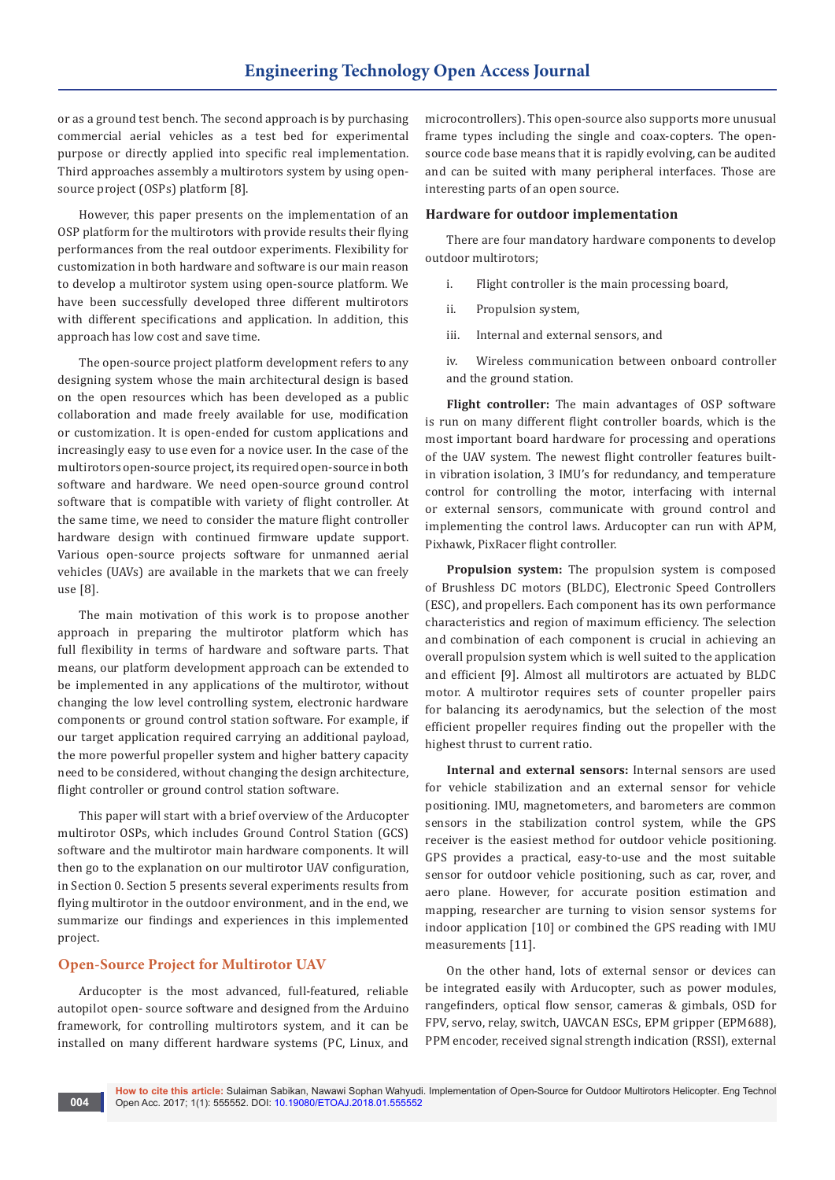or as a ground test bench. The second approach is by purchasing commercial aerial vehicles as a test bed for experimental purpose or directly applied into specific real implementation. Third approaches assembly a multirotors system by using opensource project (OSPs) platform [8].

However, this paper presents on the implementation of an OSP platform for the multirotors with provide results their flying performances from the real outdoor experiments. Flexibility for customization in both hardware and software is our main reason to develop a multirotor system using open-source platform. We have been successfully developed three different multirotors with different specifications and application. In addition, this approach has low cost and save time.

The open-source project platform development refers to any designing system whose the main architectural design is based on the open resources which has been developed as a public collaboration and made freely available for use, modification or customization. It is open-ended for custom applications and increasingly easy to use even for a novice user. In the case of the multirotors open-source project, its required open-source in both software and hardware. We need open-source ground control software that is compatible with variety of flight controller. At the same time, we need to consider the mature flight controller hardware design with continued firmware update support. Various open-source projects software for unmanned aerial vehicles (UAVs) are available in the markets that we can freely use [8].

The main motivation of this work is to propose another approach in preparing the multirotor platform which has full flexibility in terms of hardware and software parts. That means, our platform development approach can be extended to be implemented in any applications of the multirotor, without changing the low level controlling system, electronic hardware components or ground control station software. For example, if our target application required carrying an additional payload, the more powerful propeller system and higher battery capacity need to be considered, without changing the design architecture, flight controller or ground control station software.

This paper will start with a brief overview of the Arducopter multirotor OSPs, which includes Ground Control Station (GCS) software and the multirotor main hardware components. It will then go to the explanation on our multirotor UAV configuration, in Section 0. Section 5 presents several experiments results from flying multirotor in the outdoor environment, and in the end, we summarize our findings and experiences in this implemented project.

# **Open-Source Project for Multirotor UAV**

Arducopter is the most advanced, full-featured, reliable autopilot open- source software and designed from the Arduino framework, for controlling multirotors system, and it can be installed on many different hardware systems (PC, Linux, and

microcontrollers). This open-source also supports more unusual frame types including the single and coax-copters. The opensource code base means that it is rapidly evolving, can be audited and can be suited with many peripheral interfaces. Those are interesting parts of an open source.

### **Hardware for outdoor implementation**

There are four mandatory hardware components to develop outdoor multirotors;

- i. Flight controller is the main processing board,
- ii. Propulsion system,
- iii. Internal and external sensors, and

iv. Wireless communication between onboard controller and the ground station.

**Flight controller:** The main advantages of OSP software is run on many different flight controller boards, which is the most important board hardware for processing and operations of the UAV system. The newest flight controller features builtin vibration isolation, 3 IMU's for redundancy, and temperature control for controlling the motor, interfacing with internal or external sensors, communicate with ground control and implementing the control laws. Arducopter can run with APM, Pixhawk, PixRacer flight controller.

**Propulsion system:** The propulsion system is composed of Brushless DC motors (BLDC), Electronic Speed Controllers (ESC), and propellers. Each component has its own performance characteristics and region of maximum efficiency. The selection and combination of each component is crucial in achieving an overall propulsion system which is well suited to the application and efficient [9]. Almost all multirotors are actuated by BLDC motor. A multirotor requires sets of counter propeller pairs for balancing its aerodynamics, but the selection of the most efficient propeller requires finding out the propeller with the highest thrust to current ratio.

**Internal and external sensors:** Internal sensors are used for vehicle stabilization and an external sensor for vehicle positioning. IMU, magnetometers, and barometers are common sensors in the stabilization control system, while the GPS receiver is the easiest method for outdoor vehicle positioning. GPS provides a practical, easy-to-use and the most suitable sensor for outdoor vehicle positioning, such as car, rover, and aero plane. However, for accurate position estimation and mapping, researcher are turning to vision sensor systems for indoor application [10] or combined the GPS reading with IMU measurements [11].

On the other hand, lots of external sensor or devices can be integrated easily with Arducopter, such as power modules, rangefinders, optical flow sensor, cameras & gimbals, OSD for FPV, servo, relay, switch, UAVCAN ESCs, EPM gripper (EPM688), PPM encoder, received signal strength indication (RSSI), external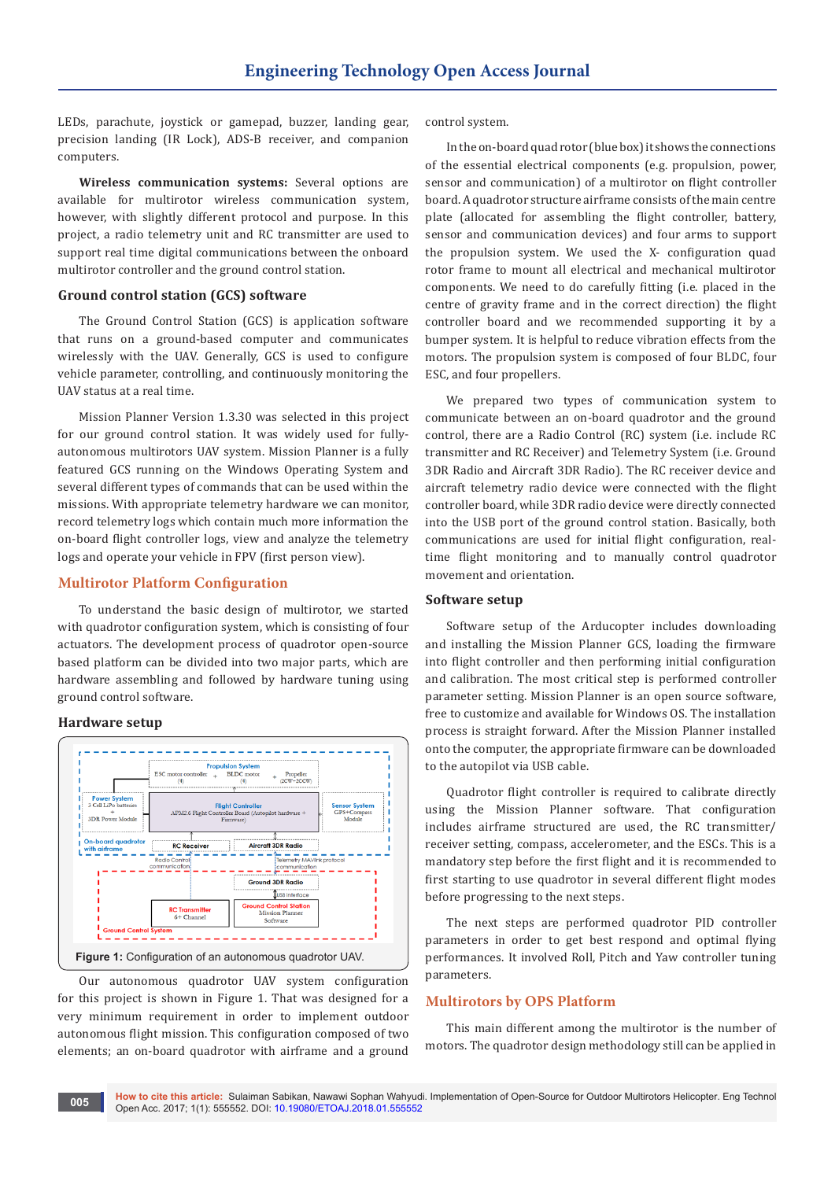LEDs, parachute, joystick or gamepad, buzzer, landing gear, precision landing (IR Lock), ADS-B receiver, and companion computers.

**Wireless communication systems:** Several options are available for multirotor wireless communication system, however, with slightly different protocol and purpose. In this project, a radio telemetry unit and RC transmitter are used to support real time digital communications between the onboard multirotor controller and the ground control station.

# **Ground control station (GCS) software**

The Ground Control Station (GCS) is application software that runs on a ground-based computer and communicates wirelessly with the UAV. Generally, GCS is used to configure vehicle parameter, controlling, and continuously monitoring the UAV status at a real time.

Mission Planner Version 1.3.30 was selected in this project for our ground control station. It was widely used for fullyautonomous multirotors UAV system. Mission Planner is a fully featured GCS running on the Windows Operating System and several different types of commands that can be used within the missions. With appropriate telemetry hardware we can monitor, record telemetry logs which contain much more information the on-board flight controller logs, view and analyze the telemetry logs and operate your vehicle in FPV (first person view).

# **Multirotor Platform Configuration**

To understand the basic design of multirotor, we started with quadrotor configuration system, which is consisting of four actuators. The development process of quadrotor open-source based platform can be divided into two major parts, which are hardware assembling and followed by hardware tuning using ground control software.

### **Hardware setup**



Our autonomous quadrotor UAV system configuration for this project is shown in Figure 1. That was designed for a very minimum requirement in order to implement outdoor autonomous flight mission. This configuration composed of two elements; an on-board quadrotor with airframe and a ground

control system.

In the on-board quad rotor (blue box) it shows the connections of the essential electrical components (e.g. propulsion, power, sensor and communication) of a multirotor on flight controller board. A quadrotor structure airframe consists of the main centre plate (allocated for assembling the flight controller, battery, sensor and communication devices) and four arms to support the propulsion system. We used the X- configuration quad rotor frame to mount all electrical and mechanical multirotor components. We need to do carefully fitting (i.e. placed in the centre of gravity frame and in the correct direction) the flight controller board and we recommended supporting it by a bumper system. It is helpful to reduce vibration effects from the motors. The propulsion system is composed of four BLDC, four ESC, and four propellers.

We prepared two types of communication system to communicate between an on-board quadrotor and the ground control, there are a Radio Control (RC) system (i.e. include RC transmitter and RC Receiver) and Telemetry System (i.e. Ground 3DR Radio and Aircraft 3DR Radio). The RC receiver device and aircraft telemetry radio device were connected with the flight controller board, while 3DR radio device were directly connected into the USB port of the ground control station. Basically, both communications are used for initial flight configuration, realtime flight monitoring and to manually control quadrotor movement and orientation.

### **Software setup**

Software setup of the Arducopter includes downloading and installing the Mission Planner GCS, loading the firmware into flight controller and then performing initial configuration and calibration. The most critical step is performed controller parameter setting. Mission Planner is an open source software, free to customize and available for Windows OS. The installation process is straight forward. After the Mission Planner installed onto the computer, the appropriate firmware can be downloaded to the autopilot via USB cable.

Quadrotor flight controller is required to calibrate directly using the Mission Planner software. That configuration includes airframe structured are used, the RC transmitter/ receiver setting, compass, accelerometer, and the ESCs. This is a mandatory step before the first flight and it is recommended to first starting to use quadrotor in several different flight modes before progressing to the next steps.

The next steps are performed quadrotor PID controller parameters in order to get best respond and optimal flying performances. It involved Roll, Pitch and Yaw controller tuning parameters.

# **Multirotors by OPS Platform**

This main different among the multirotor is the number of motors. The quadrotor design methodology still can be applied in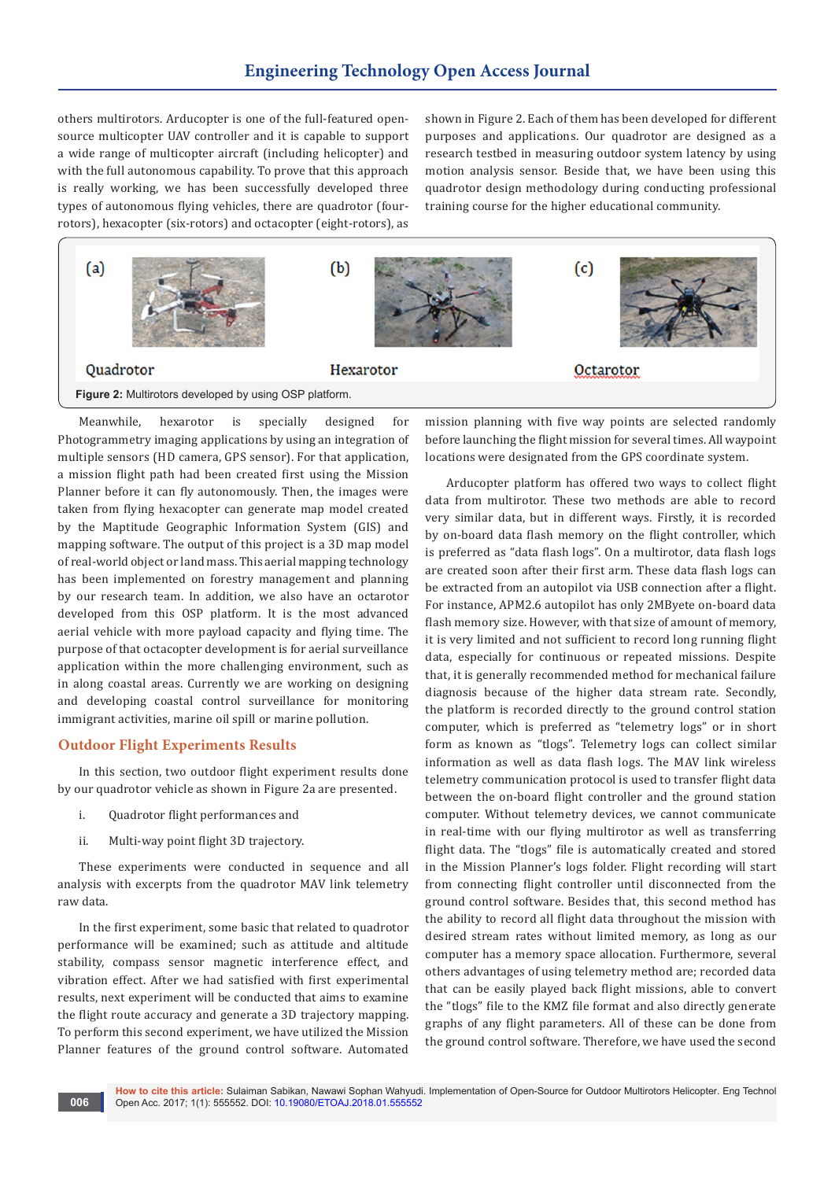# **Engineering Technology Open Access Journal**

others multirotors. Arducopter is one of the full-featured opensource multicopter UAV controller and it is capable to support a wide range of multicopter aircraft (including helicopter) and with the full autonomous capability. To prove that this approach is really working, we has been successfully developed three types of autonomous flying vehicles, there are quadrotor (fourrotors), hexacopter (six-rotors) and octacopter (eight-rotors), as

shown in Figure 2. Each of them has been developed for different purposes and applications. Our quadrotor are designed as a research testbed in measuring outdoor system latency by using motion analysis sensor. Beside that, we have been using this quadrotor design methodology during conducting professional training course for the higher educational community.



Meanwhile, hexarotor is specially designed for Photogrammetry imaging applications by using an integration of multiple sensors (HD camera, GPS sensor). For that application, a mission flight path had been created first using the Mission Planner before it can fly autonomously. Then, the images were taken from flying hexacopter can generate map model created by the Maptitude Geographic Information System (GIS) and mapping software. The output of this project is a 3D map model of real-world object or land mass. This aerial mapping technology has been implemented on forestry management and planning by our research team. In addition, we also have an octarotor developed from this OSP platform. It is the most advanced aerial vehicle with more payload capacity and flying time. The purpose of that octacopter development is for aerial surveillance application within the more challenging environment, such as in along coastal areas. Currently we are working on designing and developing coastal control surveillance for monitoring immigrant activities, marine oil spill or marine pollution.

# **Outdoor Flight Experiments Results**

In this section, two outdoor flight experiment results done by our quadrotor vehicle as shown in Figure 2a are presented.

- i. Quadrotor flight performances and
- ii. Multi-way point flight 3D trajectory.

These experiments were conducted in sequence and all analysis with excerpts from the quadrotor MAV link telemetry raw data.

In the first experiment, some basic that related to quadrotor performance will be examined; such as attitude and altitude stability, compass sensor magnetic interference effect, and vibration effect. After we had satisfied with first experimental results, next experiment will be conducted that aims to examine the flight route accuracy and generate a 3D trajectory mapping. To perform this second experiment, we have utilized the Mission Planner features of the ground control software. Automated

mission planning with five way points are selected randomly before launching the flight mission for several times. All waypoint locations were designated from the GPS coordinate system.

Arducopter platform has offered two ways to collect flight data from multirotor. These two methods are able to record very similar data, but in different ways. Firstly, it is recorded by on-board data flash memory on the flight controller, which is preferred as "data flash logs". On a multirotor, data flash logs are created soon after their first arm. These data flash logs can be extracted from an autopilot via USB connection after a flight. For instance, APM2.6 autopilot has only 2MByete on-board data flash memory size. However, with that size of amount of memory, it is very limited and not sufficient to record long running flight data, especially for continuous or repeated missions. Despite that, it is generally recommended method for mechanical failure diagnosis because of the higher data stream rate. Secondly, the platform is recorded directly to the ground control station computer, which is preferred as "telemetry logs" or in short form as known as "tlogs". Telemetry logs can collect similar information as well as data flash logs. The MAV link wireless telemetry communication protocol is used to transfer flight data between the on-board flight controller and the ground station computer. Without telemetry devices, we cannot communicate in real-time with our flying multirotor as well as transferring flight data. The "tlogs" file is automatically created and stored in the Mission Planner's logs folder. Flight recording will start from connecting flight controller until disconnected from the ground control software. Besides that, this second method has the ability to record all flight data throughout the mission with desired stream rates without limited memory, as long as our computer has a memory space allocation. Furthermore, several others advantages of using telemetry method are; recorded data that can be easily played back flight missions, able to convert the "tlogs" file to the KMZ file format and also directly generate graphs of any flight parameters. All of these can be done from the ground control software. Therefore, we have used the second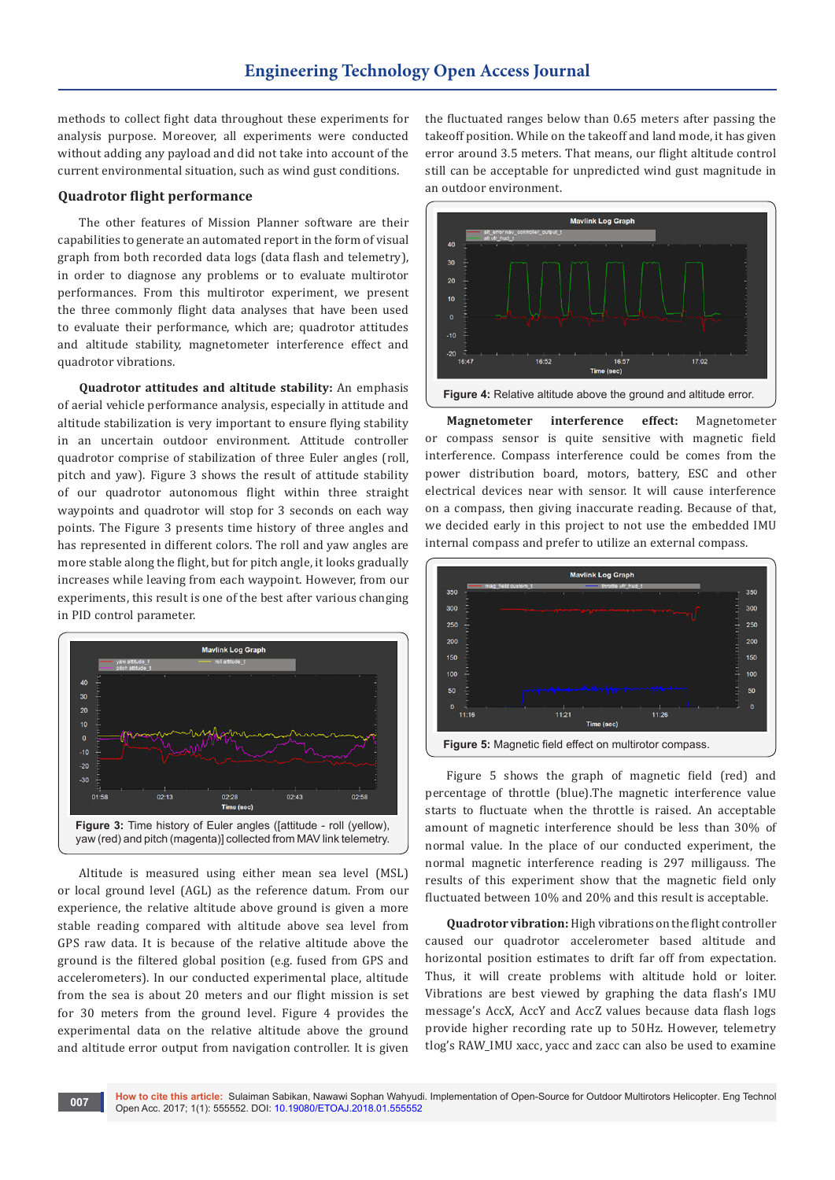methods to collect fight data throughout these experiments for analysis purpose. Moreover, all experiments were conducted without adding any payload and did not take into account of the current environmental situation, such as wind gust conditions.

# **Quadrotor flight performance**

The other features of Mission Planner software are their capabilities to generate an automated report in the form of visual graph from both recorded data logs (data flash and telemetry), in order to diagnose any problems or to evaluate multirotor performances. From this multirotor experiment, we present the three commonly flight data analyses that have been used to evaluate their performance, which are; quadrotor attitudes and altitude stability, magnetometer interference effect and quadrotor vibrations.

**Quadrotor attitudes and altitude stability:** An emphasis of aerial vehicle performance analysis, especially in attitude and altitude stabilization is very important to ensure flying stability in an uncertain outdoor environment. Attitude controller quadrotor comprise of stabilization of three Euler angles (roll, pitch and yaw). Figure 3 shows the result of attitude stability of our quadrotor autonomous flight within three straight waypoints and quadrotor will stop for 3 seconds on each way points. The Figure 3 presents time history of three angles and has represented in different colors. The roll and yaw angles are more stable along the flight, but for pitch angle, it looks gradually increases while leaving from each waypoint. However, from our experiments, this result is one of the best after various changing in PID control parameter.



Altitude is measured using either mean sea level (MSL) or local ground level (AGL) as the reference datum. From our experience, the relative altitude above ground is given a more stable reading compared with altitude above sea level from GPS raw data. It is because of the relative altitude above the ground is the filtered global position (e.g. fused from GPS and accelerometers). In our conducted experimental place, altitude from the sea is about 20 meters and our flight mission is set for 30 meters from the ground level. Figure 4 provides the experimental data on the relative altitude above the ground and altitude error output from navigation controller. It is given

the fluctuated ranges below than 0.65 meters after passing the takeoff position. While on the takeoff and land mode, it has given error around 3.5 meters. That means, our flight altitude control still can be acceptable for unpredicted wind gust magnitude in an outdoor environment.



**Magnetometer interference effect:** Magnetometer or compass sensor is quite sensitive with magnetic field interference. Compass interference could be comes from the power distribution board, motors, battery, ESC and other electrical devices near with sensor. It will cause interference on a compass, then giving inaccurate reading. Because of that, we decided early in this project to not use the embedded IMU internal compass and prefer to utilize an external compass.



Figure 5 shows the graph of magnetic field (red) and percentage of throttle (blue).The magnetic interference value starts to fluctuate when the throttle is raised. An acceptable amount of magnetic interference should be less than 30% of normal value. In the place of our conducted experiment, the normal magnetic interference reading is 297 milligauss. The results of this experiment show that the magnetic field only fluctuated between 10% and 20% and this result is acceptable.

**Quadrotor vibration:** High vibrations on the flight controller caused our quadrotor accelerometer based altitude and horizontal position estimates to drift far off from expectation. Thus, it will create problems with altitude hold or loiter. Vibrations are best viewed by graphing the data flash's IMU message's AccX, AccY and AccZ values because data flash logs provide higher recording rate up to 50Hz. However, telemetry tlog's RAW\_IMU xacc, yacc and zacc can also be used to examine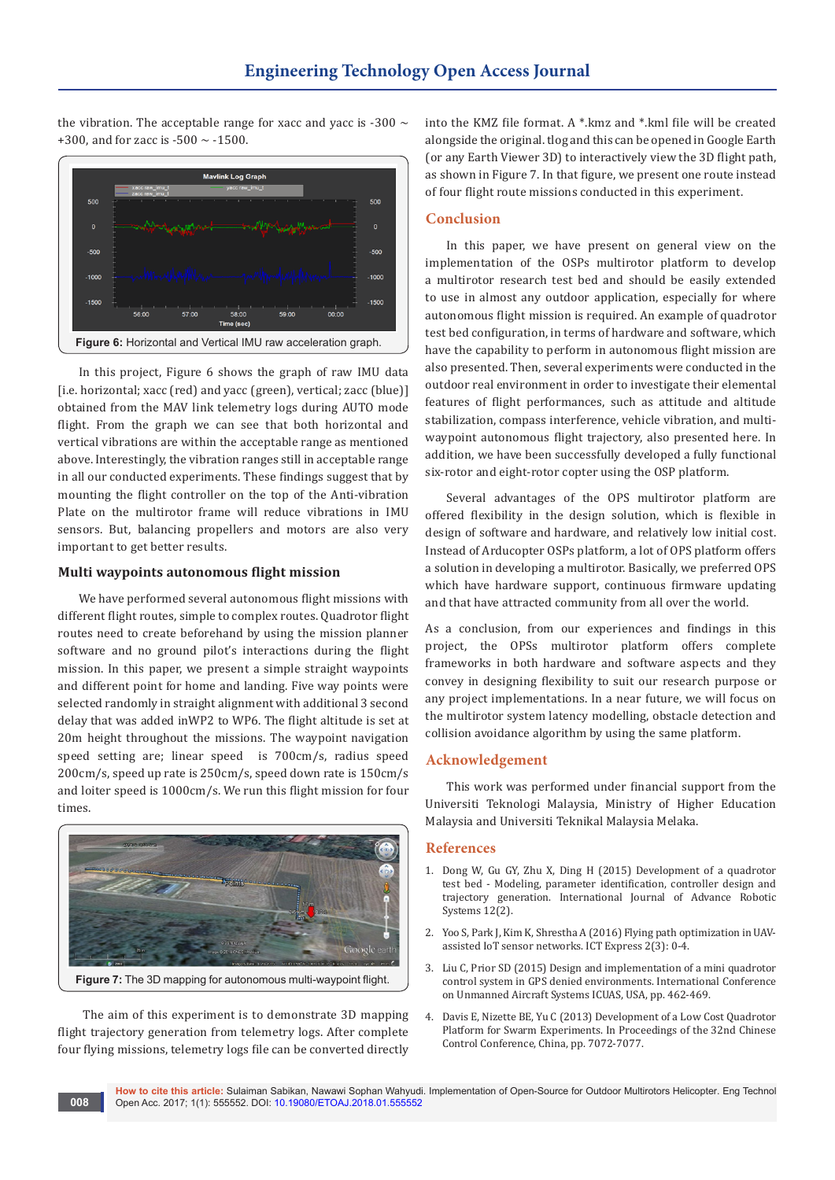the vibration. The acceptable range for xacc and yacc is -300  $\sim$ +300, and for zacc is -500  $\sim$  -1500.



In this project, Figure 6 shows the graph of raw IMU data [i.e. horizontal; xacc (red) and yacc (green), vertical; zacc (blue)] obtained from the MAV link telemetry logs during AUTO mode flight. From the graph we can see that both horizontal and vertical vibrations are within the acceptable range as mentioned above. Interestingly, the vibration ranges still in acceptable range in all our conducted experiments. These findings suggest that by mounting the flight controller on the top of the Anti-vibration Plate on the multirotor frame will reduce vibrations in IMU sensors. But, balancing propellers and motors are also very important to get better results.

# **Multi waypoints autonomous flight mission**

We have performed several autonomous flight missions with different flight routes, simple to complex routes. Quadrotor flight routes need to create beforehand by using the mission planner software and no ground pilot's interactions during the flight mission. In this paper, we present a simple straight waypoints and different point for home and landing. Five way points were selected randomly in straight alignment with additional 3 second delay that was added inWP2 to WP6. The flight altitude is set at 20m height throughout the missions. The waypoint navigation speed setting are; linear speed is 700cm/s, radius speed 200cm/s, speed up rate is 250cm/s, speed down rate is 150cm/s and loiter speed is 1000cm/s. We run this flight mission for four times.



 The aim of this experiment is to demonstrate 3D mapping flight trajectory generation from telemetry logs. After complete four flying missions, telemetry logs file can be converted directly into the KMZ file format. A \*.kmz and \*.kml file will be created alongside the original. tlog and this can be opened in Google Earth (or any Earth Viewer 3D) to interactively view the 3D flight path, as shown in Figure 7. In that figure, we present one route instead of four flight route missions conducted in this experiment.

### **Conclusion**

In this paper, we have present on general view on the implementation of the OSPs multirotor platform to develop a multirotor research test bed and should be easily extended to use in almost any outdoor application, especially for where autonomous flight mission is required. An example of quadrotor test bed configuration, in terms of hardware and software, which have the capability to perform in autonomous flight mission are also presented. Then, several experiments were conducted in the outdoor real environment in order to investigate their elemental features of flight performances, such as attitude and altitude stabilization, compass interference, vehicle vibration, and multiwaypoint autonomous flight trajectory, also presented here. In addition, we have been successfully developed a fully functional six-rotor and eight-rotor copter using the OSP platform.

Several advantages of the OPS multirotor platform are offered flexibility in the design solution, which is flexible in design of software and hardware, and relatively low initial cost. Instead of Arducopter OSPs platform, a lot of OPS platform offers a solution in developing a multirotor. Basically, we preferred OPS which have hardware support, continuous firmware updating and that have attracted community from all over the world.

As a conclusion, from our experiences and findings in this project, the OPSs multirotor platform offers complete frameworks in both hardware and software aspects and they convey in designing flexibility to suit our research purpose or any project implementations. In a near future, we will focus on the multirotor system latency modelling, obstacle detection and collision avoidance algorithm by using the same platform.

# **Acknowledgement**

This work was performed under financial support from the Universiti Teknologi Malaysia, Ministry of Higher Education Malaysia and Universiti Teknikal Malaysia Melaka.

### **References**

- 1. [Dong W, Gu GY, Zhu X, Ding H \(2015\) Development of a quadrotor](http://journals.sagepub.com/doi/full/10.5772/59618)  [test bed - Modeling, parameter identification, controller design and](http://journals.sagepub.com/doi/full/10.5772/59618)  [trajectory generation. International Journal of Advance Robotic](http://journals.sagepub.com/doi/full/10.5772/59618)  [Systems 12\(2\).](http://journals.sagepub.com/doi/full/10.5772/59618)
- 2. Yoo S, Park J, Kim K, Shrestha A (2016) Flying path optimization in UAVassisted IoT sensor networks. ICT Express 2(3): 0-4.
- 3. [Liu C, Prior SD \(2015\) Design and implementation of a mini quadrotor](http://ieeexplore.ieee.org/document/7152324/authors?reload=true&ctx=authors)  [control system in GPS denied environments. International Conference](http://ieeexplore.ieee.org/document/7152324/authors?reload=true&ctx=authors)  [on Unmanned Aircraft Systems ICUAS, USA, pp. 462-469.](http://ieeexplore.ieee.org/document/7152324/authors?reload=true&ctx=authors)
- 4. [Davis E, Nizette BE, Yu C \(2013\) Development of a Low Cost Quadrotor](http://ieeexplore.ieee.org/document/6640681/)  [Platform for Swarm Experiments. In Proceedings of the 32nd Chinese](http://ieeexplore.ieee.org/document/6640681/)  [Control Conference, China, pp. 7072-7077](http://ieeexplore.ieee.org/document/6640681/).